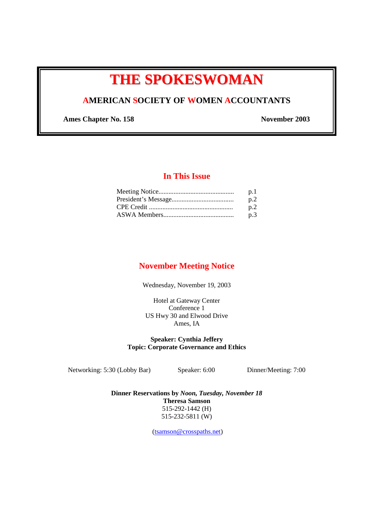# **THE SPOKESWOMAN**

### **AMERICAN SOCIETY OF WOMEN ACCOUNTANTS**

Ames Chapter No. 158 November 2003

#### **In This Issue**

| p.1 |
|-----|
| p.2 |
| n.2 |
| p.3 |

#### **November Meeting Notice**

Wednesday, November 19, 2003

Hotel at Gateway Center Conference 1 US Hwy 30 and Elwood Drive Ames, IA

**Speaker: Cynthia Jeffery Topic: Corporate Governance and Ethics** 

Networking: 5:30 (Lobby Bar) Speaker: 6:00 Dinner/Meeting: 7:00

**Dinner Reservations by** *Noon, Tuesday, November 18* **Theresa Samson**  515-292-1442 (H) 515-232-5811 (W)

(tsamson@crosspaths.net)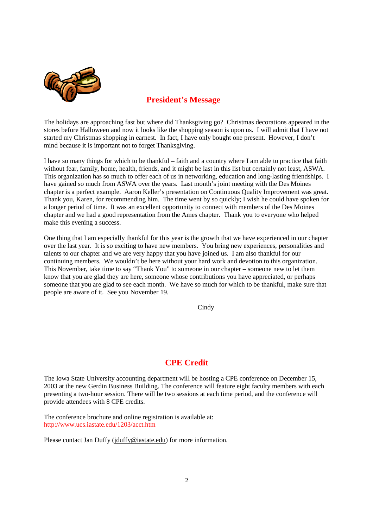

### **President's Message**

The holidays are approaching fast but where did Thanksgiving go? Christmas decorations appeared in the stores before Halloween and now it looks like the shopping season is upon us. I will admit that I have not started my Christmas shopping in earnest. In fact, I have only bought one present. However, I don't mind because it is important not to forget Thanksgiving.

I have so many things for which to be thankful – faith and a country where I am able to practice that faith without fear, family, home, health, friends, and it might be last in this list but certainly not least, ASWA. This organization has so much to offer each of us in networking, education and long-lasting friendships. I have gained so much from ASWA over the years. Last month's joint meeting with the Des Moines chapter is a perfect example. Aaron Keller's presentation on Continuous Quality Improvement was great. Thank you, Karen, for recommending him. The time went by so quickly; I wish he could have spoken for a longer period of time. It was an excellent opportunity to connect with members of the Des Moines chapter and we had a good representation from the Ames chapter. Thank you to everyone who helped make this evening a success.

One thing that I am especially thankful for this year is the growth that we have experienced in our chapter over the last year. It is so exciting to have new members. You bring new experiences, personalities and talents to our chapter and we are very happy that you have joined us. I am also thankful for our continuing members. We wouldn't be here without your hard work and devotion to this organization. This November, take time to say "Thank You" to someone in our chapter – someone new to let them know that you are glad they are here, someone whose contributions you have appreciated, or perhaps someone that you are glad to see each month. We have so much for which to be thankful, make sure that people are aware of it. See you November 19.

Cindy

## **CPE Credit**

The Iowa State University accounting department will be hosting a CPE conference on December 15, 2003 at the new Gerdin Business Building. The conference will feature eight faculty members with each presenting a two-hour session. There will be two sessions at each time period, and the conference will provide attendees with 8 CPE credits.

The conference brochure and online registration is available at: http://www.ucs.iastate.edu/1203/acct.htm

Please contact Jan Duffy (jduffy@iastate.edu) for more information.